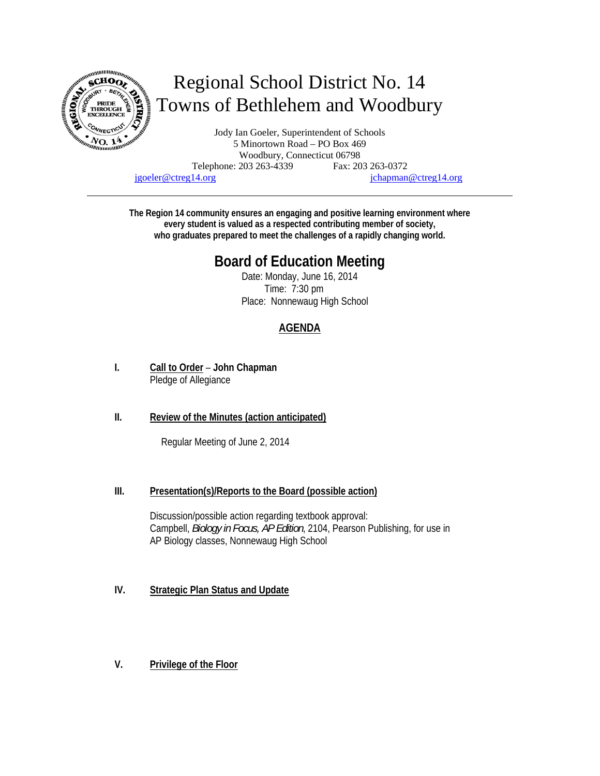

# Regional School District No. 14 Towns of Bethlehem and Woodbury

Jody Ian Goeler, Superintendent of Schools 5 Minortown Road – PO Box 469 Woodbury, Connecticut 06798 Telephone: 203 263-4339 Fax: 203 263-0372 jgoeler@ctreg14.org jchapman@ctreg14.org

**The Region 14 community ensures an engaging and positive learning environment where every student is valued as a respected contributing member of society, who graduates prepared to meet the challenges of a rapidly changing world.** 

# **Board of Education Meeting**

Date: Monday, June 16, 2014 Time: 7:30 pm Place: Nonnewaug High School

## **AGENDA**

**I. Call to Order** – **John Chapman** Pledge of Allegiance

### **II. Review of the Minutes (action anticipated)**

Regular Meeting of June 2, 2014

#### **III. Presentation(s)/Reports to the Board (possible action)**

Discussion/possible action regarding textbook approval: Campbell, *Biology in Focus, AP Edition*, 2104, Pearson Publishing, for use in AP Biology classes, Nonnewaug High School

- **IV. Strategic Plan Status and Update**
- **V. Privilege of the Floor**